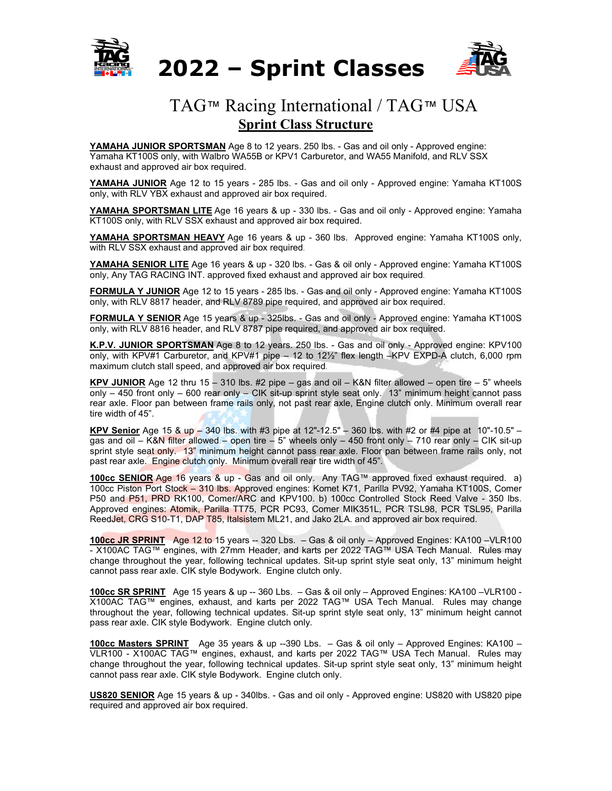

## **2022 – Sprint Classes**



## TAG™ Racing International / TAG™ USA **Sprint Class Structure**

**YAMAHA JUNIOR SPORTSMAN** Age 8 to 12 years. 250 lbs. - Gas and oil only - Approved engine: Yamaha KT100S only, with Walbro WA55B or KPV1 Carburetor, and WA55 Manifold, and RLV SSX exhaust and approved air box required.

**YAMAHA JUNIOR** Age 12 to 15 years - 285 lbs. - Gas and oil only - Approved engine: Yamaha KT100S only, with RLV YBX exhaust and approved air box required.

**YAMAHA SPORTSMAN LITE** Age 16 years & up - 330 lbs. - Gas and oil only - Approved engine: Yamaha KT100S only, with RLV SSX exhaust and approved air box required.

**YAMAHA SPORTSMAN HEAVY** Age 16 years & up - 360 lbs. Approved engine: Yamaha KT100S only, with RLV SSX exhaust and approved air box required.

**YAMAHA SENIOR LITE** Age 16 years & up - 320 lbs. - Gas & oil only - Approved engine: Yamaha KT100S only, Any TAG RACING INT. approved fixed exhaust and approved air box required.

**FORMULA Y JUNIOR** Age 12 to 15 years - 285 lbs. - Gas and oil only - Approved engine: Yamaha KT100S only, with RLV 8817 header, and RLV 8789 pipe required, and approved air box required.

**FORMULA Y SENIOR** Age 15 years & up - 325lbs. - Gas and oil only - Approved engine: Yamaha KT100S only, with RLV 8816 header, and RLV 8787 pipe required, and approved air box required.

**K.P.V. JUNIOR SPORTSMAN** Age 8 to 12 years. 250 lbs. - Gas and oil only - Approved engine: KPV100 only, with KPV#1 Carburetor, and KPV#1 pipe – 12 to 12½" flex length –KPV EXPD-A clutch, 6,000 rpm maximum clutch stall speed, and approved air box required.

**KPV JUNIOR** Age 12 thru 15 – 310 lbs.  $#2$  pipe – gas and oil – K&N filter allowed – open tire – 5" wheels only – 450 front only – 600 rear only – CIK sit-up sprint style seat only. 13" minimum height cannot pass rear axle. Floor pan between frame rails only, not past rear axle, Engine clutch only. Minimum overall rear tire width of 45".

**KPV Senior** Age 15 & up – 340 lbs. with #3 pipe at 12"-12.5" – 360 lbs. with #2 or #4 pipe at 10"-10.5" – gas and oil – K&N filter allowed – open tire – 5" wheels only – 450 front only – 710 rear only – CIK sit-up sprint style seat only. 13" minimum height cannot pass rear axle. Floor pan between frame rails only, not past rear axle. Engine clutch only. Minimum overall rear tire width of 45".

**100cc SENIOR** Age 16 years & up - Gas and oil only. Any TAG™ approved fixed exhaust required. a) 100cc Piston Port Stock – 310 lbs. Approved engines: Komet K71, Parilla PV92, Yamaha KT100S, Comer P50 and P51, PRD RK100, Comer/ARC and KPV100. b) 100cc Controlled Stock Reed Valve - 350 lbs. Approved engines: Atomik, Parilla TT75, PCR PC93, Comer MIK351L, PCR TSL98, PCR TSL95, Parilla ReedJet, CRG S10-T1, DAP T85, Italsistem ML21, and Jako 2LA. and approved air box required.

**100cc JR SPRINT** Age 12 to 15 years -- 320 Lbs. – Gas & oil only – Approved Engines: KA100 –VLR100 - X100AC TAG™ engines, with 27mm Header, and karts per 2022 TAG™ USA Tech Manual. Rules may change throughout the year, following technical updates. Sit-up sprint style seat only, 13" minimum height cannot pass rear axle. CIK style Bodywork. Engine clutch only.

**100cc SR SPRINT** Age 15 years & up -- 360 Lbs. – Gas & oil only – Approved Engines: KA100 –VLR100 - X100AC TAG™ engines, exhaust, and karts per 2022 TAG™ USA Tech Manual. Rules may change throughout the year, following technical updates. Sit-up sprint style seat only, 13" minimum height cannot pass rear axle. CIK style Bodywork. Engine clutch only.

**100cc Masters SPRINT** Age 35 years & up --390 Lbs. – Gas & oil only – Approved Engines: KA100 – VLR100 - X100AC TAG™ engines, exhaust, and karts per 2022 TAG™ USA Tech Manual. Rules may change throughout the year, following technical updates. Sit-up sprint style seat only, 13" minimum height cannot pass rear axle. CIK style Bodywork. Engine clutch only.

**US820 SENIOR** Age 15 years & up - 340lbs. - Gas and oil only - Approved engine: US820 with US820 pipe required and approved air box required.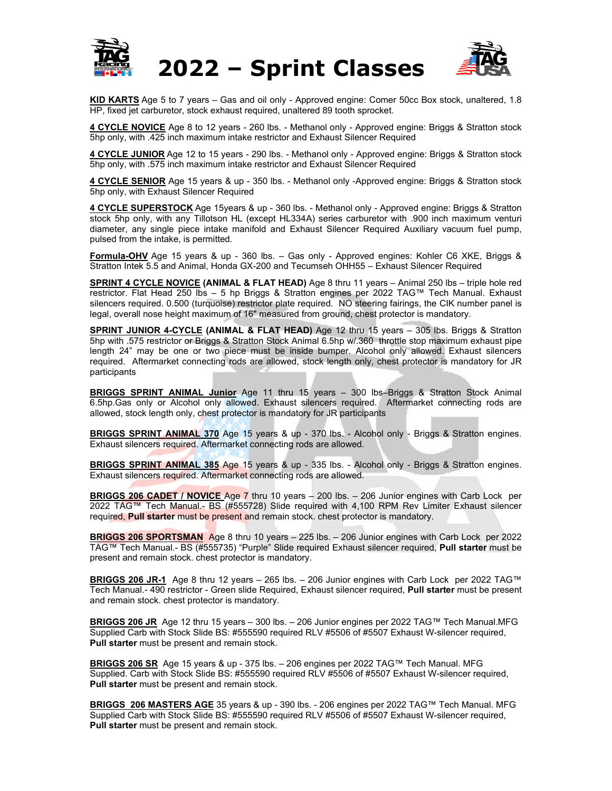



**KID KARTS** Age 5 to 7 years – Gas and oil only - Approved engine: Comer 50cc Box stock, unaltered, 1.8 HP, fixed jet carburetor, stock exhaust required, unaltered 89 tooth sprocket.

**4 CYCLE NOVICE** Age 8 to 12 years - 260 lbs. - Methanol only - Approved engine: Briggs & Stratton stock 5hp only, with .425 inch maximum intake restrictor and Exhaust Silencer Required

**4 CYCLE JUNIOR** Age 12 to 15 years - 290 lbs. - Methanol only - Approved engine: Briggs & Stratton stock 5hp only, with .575 inch maximum intake restrictor and Exhaust Silencer Required

**4 CYCLE SENIOR** Age 15 years & up - 350 lbs. - Methanol only -Approved engine: Briggs & Stratton stock 5hp only, with Exhaust Silencer Required

**4 CYCLE SUPERSTOCK** Age 15years & up - 360 lbs. - Methanol only - Approved engine: Briggs & Stratton stock 5hp only, with any Tillotson HL (except HL334A) series carburetor with .900 inch maximum venturi diameter, any single piece intake manifold and Exhaust Silencer Required Auxiliary vacuum fuel pump, pulsed from the intake, is permitted.

**Formula-OHV** Age 15 years & up - 360 lbs. – Gas only - Approved engines: Kohler C6 XKE, Briggs & Stratton Intek 5.5 and Animal, Honda GX-200 and Tecumseh OHH55 – Exhaust Silencer Required

**SPRINT 4 CYCLE NOVICE (ANIMAL & FLAT HEAD)** Age 8 thru 11 years – Animal 250 lbs – triple hole red restrictor. Flat Head 250 lbs – 5 hp Briggs & Stratton engines per 2022 TAG™ Tech Manual. Exhaust silencers required. 0.500 (turquoise) restrictor plate required. NO steering fairings, the CIK number panel is legal, overall nose height maximum of 16" measured from ground, chest protector is mandatory.

**SPRINT JUNIOR 4-CYCLE (ANIMAL & FLAT HEAD)** Age 12 thru 15 years – 305 lbs. Briggs & Stratton 5hp with .575 restrictor or Briggs & Stratton Stock Animal 6.5hp w/.360 throttle stop maximum exhaust pipe length 24" may be one or two piece must be inside bumper. Alcohol only allowed. Exhaust silencers required. Aftermarket connecting rods are allowed, stock length only, chest protector is mandatory for JR participants

**BRIGGS SPRINT ANIMAL Junior** Age 11 thru 15 years – 300 lbs–Briggs & Stratton Stock Animal 6.5hp.Gas only or Alcohol only allowed. Exhaust silencers required. Aftermarket connecting rods are allowed, stock length only, chest protector is mandatory for JR participants

**BRIGGS SPRINT ANIMAL 370** Age 15 years & up - 370 lbs. - Alcohol only - Briggs & Stratton engines. Exhaust silencers required. Aftermarket connecting rods are allowed.

**BRIGGS SPRINT ANIMAL 385** Age 15 years & up - 335 lbs. - Alcohol only - Briggs & Stratton engines. Exhaust silencers required. Aftermarket connecting rods are allowed.

**BRIGGS 206 CADET / NOVICE** Age 7 thru 10 years – 200 lbs. – 206 Junior engines with Carb Lock per 2022 TAG™ Tech Manual.- BS (#555728) Slide required with 4,100 RPM Rev Limiter Exhaust silencer required, **Pull starter** must be present and remain stock. chest protector is mandatory.

**BRIGGS 206 SPORTSMAN** Age 8 thru 10 years – 225 lbs. – 206 Junior engines with Carb Lock per 2022 TAG™ Tech Manual.- BS (#555735) "Purple" Slide required Exhaust silencer required, **Pull starter** must be present and remain stock. chest protector is mandatory.

**BRIGGS 206 JR-1** Age 8 thru 12 years – 265 lbs. – 206 Junior engines with Carb Lock per 2022 TAG™ Tech Manual.- 490 restrictor - Green slide Required, Exhaust silencer required, **Pull starter** must be present and remain stock. chest protector is mandatory.

**BRIGGS 206 JR** Age 12 thru 15 years – 300 lbs. – 206 Junior engines per 2022 TAG™ Tech Manual.MFG Supplied Carb with Stock Slide BS: #555590 required RLV #5506 of #5507 Exhaust W-silencer required, **Pull starter** must be present and remain stock.

**BRIGGS 206 SR** Age 15 years & up - 375 lbs. – 206 engines per 2022 TAG™ Tech Manual. MFG Supplied. Carb with Stock Slide BS: #555590 required RLV #5506 of #5507 Exhaust W-silencer required, **Pull starter** must be present and remain stock.

**BRIGGS 206 MASTERS AGE** 35 years & up - 390 lbs. - 206 engines per 2022 TAG™ Tech Manual. MFG Supplied Carb with Stock Slide BS: #555590 required RLV #5506 of #5507 Exhaust W-silencer required, **Pull starter** must be present and remain stock.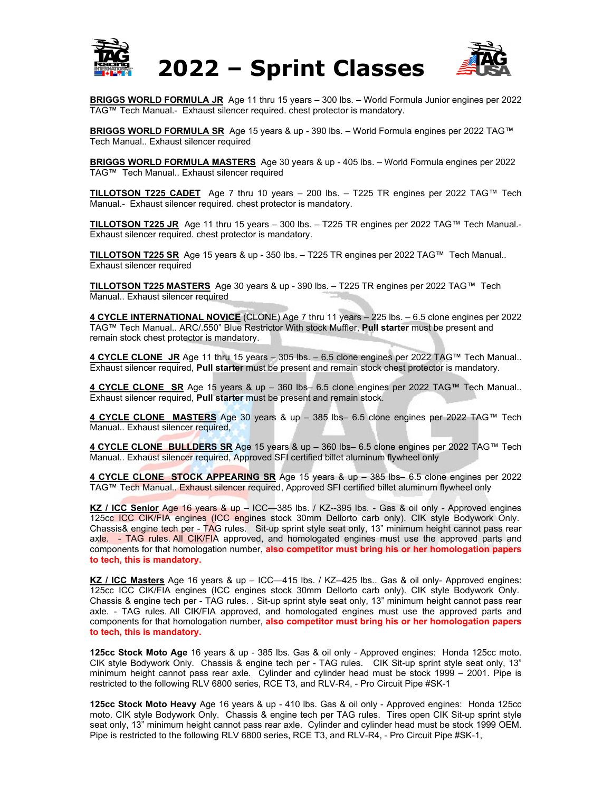



**BRIGGS WORLD FORMULA JR** Age 11 thru 15 years – 300 lbs. – World Formula Junior engines per 2022 TAG™ Tech Manual.- Exhaust silencer required. chest protector is mandatory.

**BRIGGS WORLD FORMULA SR** Age 15 years & up - 390 lbs. – World Formula engines per 2022 TAG™ Tech Manual.. Exhaust silencer required

**BRIGGS WORLD FORMULA MASTERS** Age 30 years & up - 405 lbs. – World Formula engines per 2022 TAG™ Tech Manual.. Exhaust silencer required

**TILLOTSON T225 CADET** Age 7 thru 10 years – 200 lbs. – T225 TR engines per 2022 TAG™ Tech Manual.- Exhaust silencer required. chest protector is mandatory.

**TILLOTSON T225 JR** Age 11 thru 15 years – 300 lbs. – T225 TR engines per 2022 TAG™ Tech Manual.- Exhaust silencer required. chest protector is mandatory.

**TILLOTSON T225 SR** Age 15 years & up - 350 lbs. – T225 TR engines per 2022 TAG™ Tech Manual.. Exhaust silencer required

**TILLOTSON T225 MASTERS** Age 30 years & up - 390 lbs. – T225 TR engines per 2022 TAG™ Tech Manual.. Exhaust silencer required

**4 CYCLE INTERNATIONAL NOVICE** (CLONE) Age 7 thru 11 years – 225 lbs. – 6.5 clone engines per 2022 TAG™ Tech Manual.. ARC/.550" Blue Restrictor With stock Muffler, **Pull starter** must be present and remain stock chest protector is mandatory.

**4 CYCLE CLONE JR** Age 11 thru 15 years – 305 lbs. – 6.5 clone engines per 2022 TAG™ Tech Manual.. Exhaust silencer required, **Pull starter** must be present and remain stock chest protector is mandatory.

**4 CYCLE CLONE SR** Age 15 years & up – 360 lbs– 6.5 clone engines per 2022 TAG™ Tech Manual.. Exhaust silencer required, **Pull starter** must be present and remain stock.

**4 CYCLE CLONE MASTERS** Age 30 years & up – 385 lbs– 6.5 clone engines per 2022 TAG™ Tech Manual.. Exhaust silencer required,

**4 CYCLE CLONE BULLDERS SR** Age 15 years & up – 360 lbs– 6.5 clone engines per 2022 TAG™ Tech Manual.. Exhaust silencer required, Approved SFI certified billet aluminum flywheel only

**4 CYCLE CLONE STOCK APPEARING SR** Age 15 years & up – 385 lbs– 6.5 clone engines per 2022 TAG™ Tech Manual.. Exhaust silencer required, Approved SFI certified billet aluminum flywheel only

**KZ / ICC Senior** Age 16 years & up – ICC—385 lbs. / KZ--395 lbs. - Gas & oil only - Approved engines 125cc ICC CIK/FIA engines (ICC engines stock 30mm Dellorto carb only). CIK style Bodywork Only. Chassis& engine tech per - TAG rules. Sit-up sprint style seat only, 13" minimum height cannot pass rear axle. - TAG rules. All CIK/FIA approved, and homologated engines must use the approved parts and components for that homologation number, **also competitor must bring his or her homologation papers to tech, this is mandatory.**

**KZ / ICC Masters** Age 16 years & up – ICC—415 lbs. / KZ--425 lbs.. Gas & oil only- Approved engines: 125cc ICC CIK/FIA engines (ICC engines stock 30mm Dellorto carb only). CIK style Bodywork Only. Chassis & engine tech per - TAG rules. . Sit-up sprint style seat only, 13" minimum height cannot pass rear axle. - TAG rules. All CIK/FIA approved, and homologated engines must use the approved parts and components for that homologation number, **also competitor must bring his or her homologation papers to tech, this is mandatory.**

**125cc Stock Moto Age** 16 years & up - 385 lbs. Gas & oil only - Approved engines: Honda 125cc moto. CIK style Bodywork Only. Chassis & engine tech per - TAG rules. CIK Sit-up sprint style seat only, 13" minimum height cannot pass rear axle. Cylinder and cylinder head must be stock 1999 – 2001. Pipe is restricted to the following RLV 6800 series, RCE T3, and RLV-R4, - Pro Circuit Pipe #SK-1

**125cc Stock Moto Heavy** Age 16 years & up - 410 lbs. Gas & oil only - Approved engines: Honda 125cc moto. CIK style Bodywork Only. Chassis & engine tech per TAG rules. Tires open CIK Sit-up sprint style seat only, 13" minimum height cannot pass rear axle. Cylinder and cylinder head must be stock 1999 OEM. Pipe is restricted to the following RLV 6800 series, RCE T3, and RLV-R4, - Pro Circuit Pipe #SK-1,